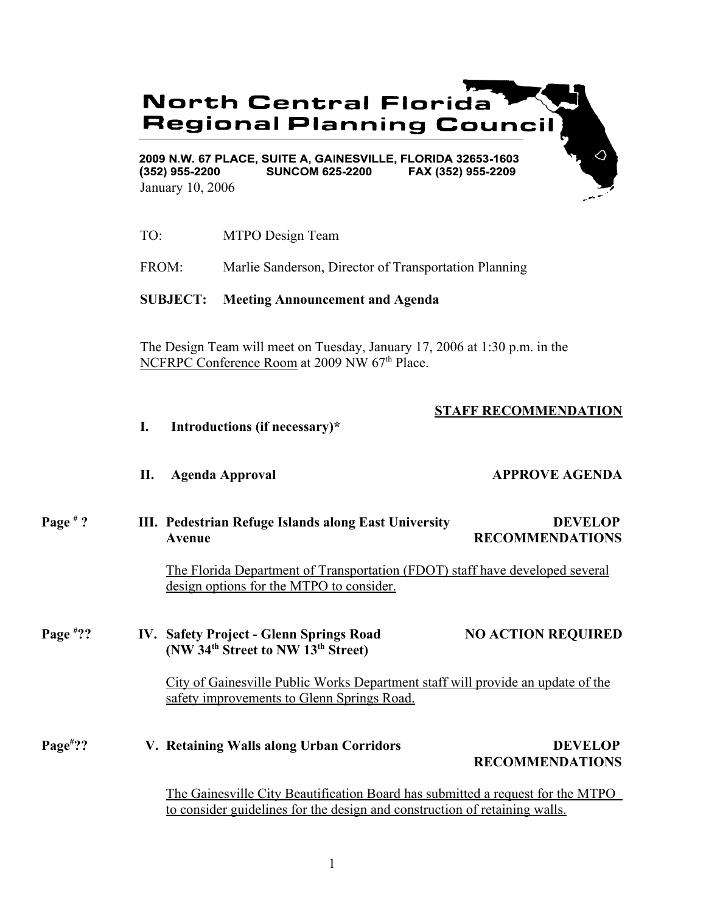# **North Central Florida Regional Planning Council**

2009 N.W. 67 PLACE, SUITE A, GAINESVILLE, FLORIDA 32653-1603  $(352)$  955-2200 **SUNCOM 625-2200** FAX (352) 955-2209 January 10, 2006

TO: MTPO Design Team

FROM: Marlie Sanderson, Director of Transportation Planning

**SUBJECT: Meeting Announcement and Agenda**

The Design Team will meet on Tuesday, January 17, 2006 at 1:30 p.m. in the NCFRPC Conference Room at 2009 NW 67<sup>th</sup> Place.

# **STAFF RECOMMENDATION**

- **I. Introductions (if necessary)\***
- **II.** Agenda Approval **APPROVE AGENDA**
- **Page # ? III. Pedestrian Refuge Islands along East University DEVELOP Avenue RECOMMENDATIONS**

The Florida Department of Transportation (FDOT) staff have developed several design options for the MTPO to consider.

#### **Page # ?? IV. Safety Project - Glenn Springs Road NO ACTION REQUIRED (NW 34th Street to NW 13th Street)**

City of Gainesville Public Works Department staff will provide an update of the safety improvements to Glenn Springs Road.

### **Page# 7. Retaining Walls along Urban Corridors DEVELOP RECOMMENDATIONS**

The Gainesville City Beautification Board has submitted a request for the MTPO to consider guidelines for the design and construction of retaining walls.